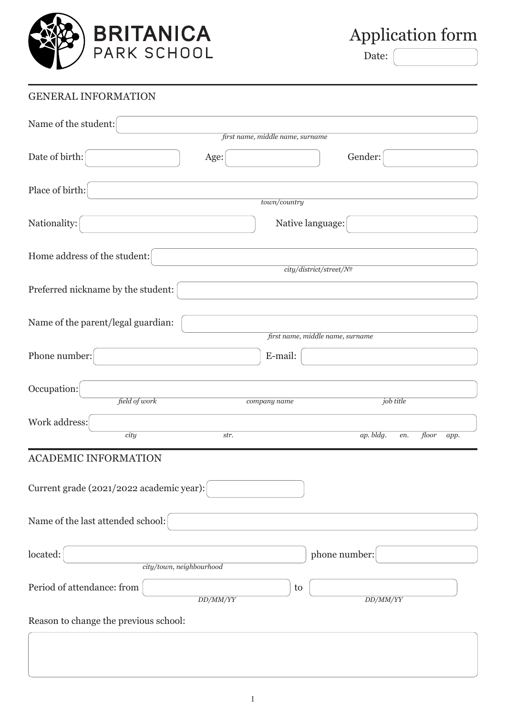

Application form

Date:

## GENERAL INFORMATION Name of the student: Date of birth:  $\qquad \qquad$  Age:  $\qquad \qquad$  Gender: Place of birth: Nationality: Nationality: Nationality: Nationality: Nationality: Nationality: Nationality: Nationality: Nationality: Nationality: Nationality: Nationality: Nationality: Nationality: Nationality: Nationality: Nationality: N Home address of the student: Preferred nickname by the student: Name of the parent/legal guardian: Phone number:  $\vert$  E-mail: Occupation: Work address: ACADEMIC INFORMATION Current grade (2021/2022 academic year): Name of the last attended school: located: phone number: Period of attendance: from the set of the set of the set of the set of the set of the set of the set of the set of the set of the set of the set of the set of the set of the set of the set of the set of the set of the set Reason to change the previous school:  $\overline{\phantom{a}}$ *town/country city/district/street/№ first name, middle name, surname first name, middle name, surname city/town, neighbourhood DD/ММ/YY DD/ММ/YY field of work company name job title city str. ap. bldg. en. floor app.*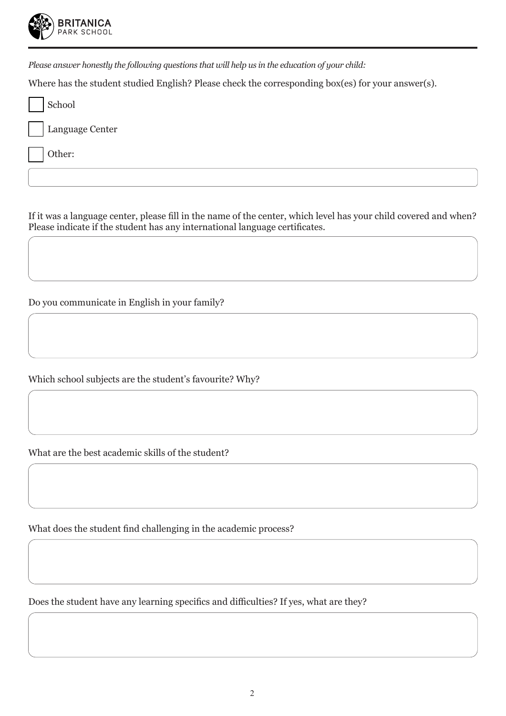

*Please answer honestly the following questions that will help us in the education of your child:*

Where has the student studied English? Please check the corresponding box(es) for your answer(s).

| School          |
|-----------------|
| Language Center |
| Other:          |
|                 |

If it was a language center, please fill in the name of the center, which level has your child covered and when? Please indicate if the student has any international language certificates.

Do you communicate in English in your family?

Which school subjects are the student's favourite? Why?

What are the best academic skills of the student?

What does the student find challenging in the academic process?

Does the student have any learning specifics and difficulties? If yes, what are they?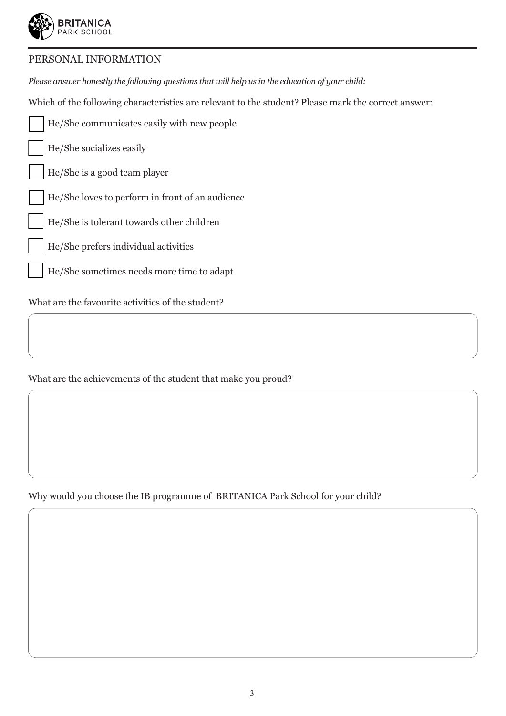

## PERSONAL INFORMATION

*Please answer honestly the following questions that will help us in the education of your child:*

Which of the following characteristics are relevant to the student? Please mark the correct answer:

- He/She communicates easily with new people
- He/She socializes easily
- He/She is a good team player
- He/She loves to perform in front of an audience
- He/She is tolerant towards other children
- He/She prefers individual activities
- He/She sometimes needs more time to adapt

What are the favourite activities of the student?

What are the achievements of the student that make you proud?

Why would you choose the IB programme of BRITANICA Park School for your child?